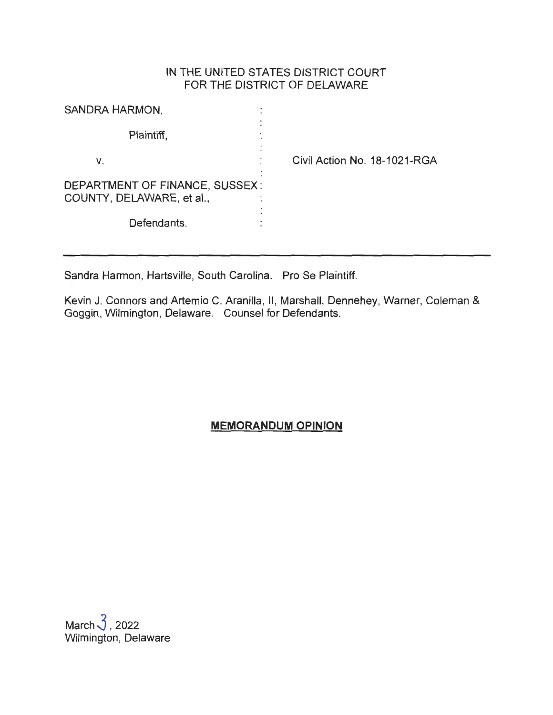## IN THE UNITED STATES DISTRICT COURT FOR THE DISTRICT OF DELAWARE

| SANDRA HARMON,                                              |                                   |
|-------------------------------------------------------------|-----------------------------------|
| Plaintiff,                                                  |                                   |
| v.                                                          | Civil Action No. 18-1021-RGA<br>٠ |
| DEPARTMENT OF FINANCE, SUSSEX:<br>COUNTY, DELAWARE, et al., |                                   |
| Defendants.                                                 |                                   |

Sandra Harmon, Hartsville, South Carolina. Pro Se Plaintiff.

Kevin J. Connors and Artemio C. Aranilla, II, Marshall, Dennehey, Warner, Coleman & Goggin, Wilmington, Delaware. Counsel for Defendants.

**MEMORANDUM OPINION** 

March $\sqrt{3}$ , 2022 Wilmington, Delaware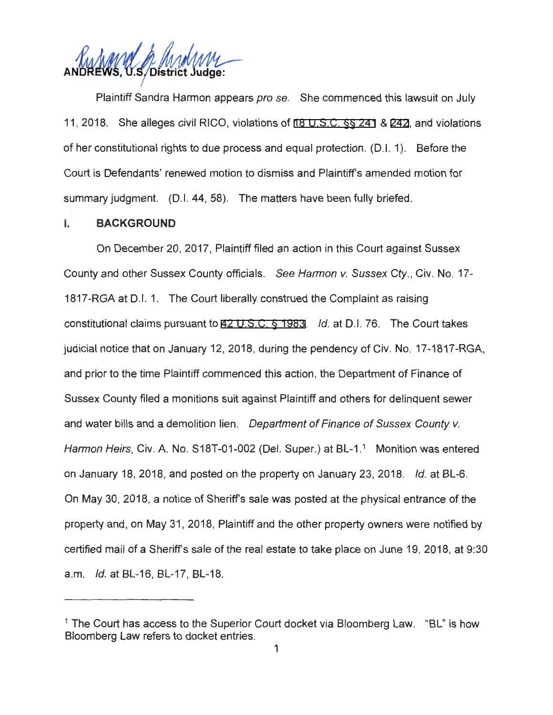Ruhmel & Andrew

Plaintiff Sandra Harmon appears pro se. She commenced this lawsuit on July 11 , 2018. She alleges civil RICO, violations of [18 U.S.C.](http://www.google.com/search?q=18+u.s.c.++241) §§ 241 & [242](http://www.google.com/search?q=18+u.s.c.+242), and violations of her constitutional rights to due process and equal protection . (D.I. 1). Before the Court is Defendants' renewed motion to dismiss and Plaintiff's amended motion for summary judgment. (D.I. 44, 58). The matters have been fully briefed.

#### I. **BACKGROUND**

On December 20, 2017, Plaintiff filed an action in this Court against Sussex County and other Sussex County officials. See Harmon v. Sussex Cty. , Civ. No. 17- 1817-RGA at D.I. 1. The Court liberally construed the Complaint as raising constitutional claims pursuant to [42 U.S.C.](http://www.google.com/search?q=42+u.s.c.++1983) § 1983. Id. at 0 .1. 76. The Court takes judicial notice that on January 12, 2018, during the pendency of Civ. No. 17-1817-RGA, and prior to the time Plaintiff commenced this action, the Department of Finance of Sussex County filed a monitions suit against Plaintiff and others for delinquent sewer and water bills and a demolition lien. Department of Finance of Sussex County v. Harmon Heirs, Civ. A. No. S18T-01-002 (Del. Super.) at BL-1.<sup>1</sup> Monition was entered on January 18, 2018, and posted on the property on January 23, 2018. Id. at BL-6. On May 30, 2018, a notice of Sheriff's sale was posted at the physical entrance of the property and, on May 31 , 2018, Plaintiff and the other property owners were notified by certified mail of a Sheriff's sale of the real estate to take place on June 19, 2018, at 9:30 a.m. Id. at BL-16, BL-17, BL-18.

<sup>&</sup>lt;sup>1</sup> The Court has access to the Superior Court docket via Bloomberg Law. "BL" is how Bloomberg Law refers to docket entries.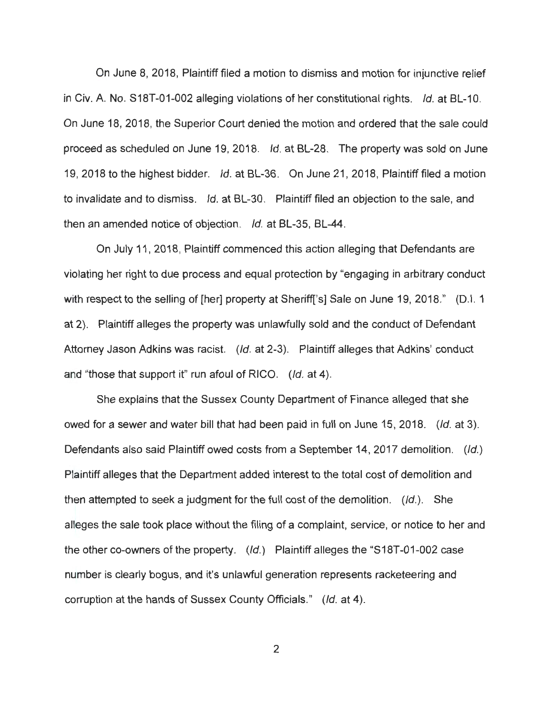On June 8, 2018, Plaintiff filed a motion to dismiss and motion for injunctive relief in Civ. A. No. S18T-01-002 alleging violations of her constitutional rights. Id. at BL-10. On June 18, 2018, the Superior Court denied the motion and ordered that the sale could proceed as scheduled on June 19, 2018. Id. at BL-28. The property was sold on June 19, 2018 to the highest bidder. Id. at BL-36. On June 21 , 2018, Plaintiff filed a motion to invalidate and to dismiss. Id. at BL-30. Plaintiff filed an objection to the sale, and then an amended notice of objection. Id. at BL-35, BL-44.

On July 11 , 2018, Plaintiff commenced this action alleging that Defendants are violating her right to due process and equal protection by "engaging in arbitrary conduct with respect to the selling of [her] property at Sheriff['s] Sale on June 19, 2018." (D.I. 1) at 2). Plaintiff alleges the property was unlawfully sold and the conduct of Defendant Attorney Jason Adkins was racist. (Id. at 2-3). Plaintiff alleges that Adkins' conduct and "those that support it" run afoul of RICO. (Id. at 4).

She explains that the Sussex County Department of Finance alleged that she owed for a sewer and water bill that had been paid in full on June 15, 2018. (Id. at 3). Defendants also said Plaintiff owed costs from a September 14, 2017 demolition. (Id.) Plaintiff alleges that the Department added interest to the total cost of demolition and then attempted to seek a judgment for the full cost of the demolition.  $(|d|)$ . She alleges the sale took place without the filing of a complaint, service, or notice to her and the other co-owners of the property. (Id.) Plaintiff alleges the "S18T-01 -002 case number is clearly bogus, and it's unlawful generation represents racketeering and corruption at the hands of Sussex County Officials." (/d. at 4).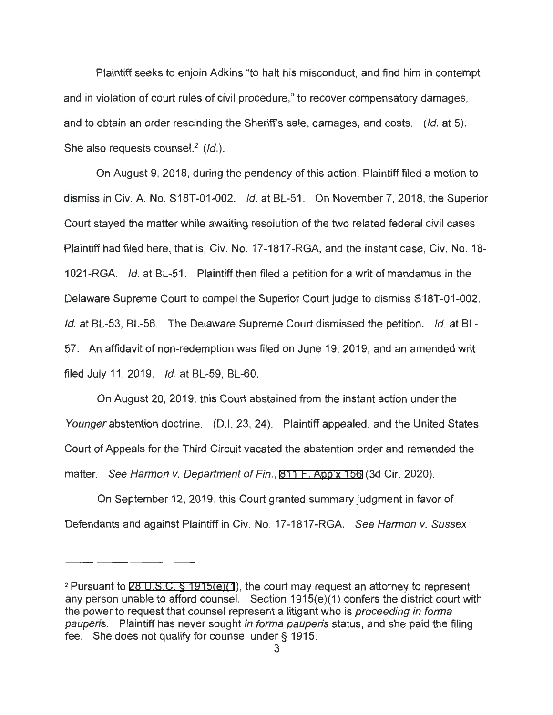Plaintiff seeks to enjoin Adkins "to halt his misconduct, and find him in contempt and in violation of court rules of civil procedure," to recover compensatory damages, and to obtain an order rescinding the Sheriff's sale, damages, and costs. (Id. at 5). She also requests counsel.<sup>2</sup> ( $Id$ .).

On August 9, 2018, during the pendency of this action, Plaintiff filed a motion to dismiss in Civ. A. No. S18T-01-002. Id. at BL-51. On November 7, 2018, the Superior Court stayed the matter while awaiting resolution of the two related federal civil cases Plaintiff had filed here, that is, Civ. No. 17-1817-RGA, and the instant case, Civ. No. 18- 1021-RGA. Id. at BL-51. Plaintiff then filed a petition for a writ of mandamus in the Delaware Supreme Court to compel the Superior Court judge to dismiss S18T-01-002. Id. at BL-53, BL-56. The Delaware Supreme Court dismissed the petition. Id. at BL-57. An affidavit of non-redemption was filed on June 19, 2019, and an amended writ filed July 11, 2019. *Id.* at BL-59, BL-60.

On August 20, 2019, this Court abstained from the instant action under the Younger abstention doctrine. (D.I. 23, 24). Plaintiff appealed, and the United States Court of Appeals for the Third Circuit vacated the abstention order and remanded the matter. See Harmon v. Department of Fin., [811 F. App'x 156](http://scholar.google.com/scholar?q=811++f.+app) (3d Cir. 2020).

On September 12, 2019, this Court granted summary judgment in favor of Defendants and against Plaintiff in Civ. No. 17-1817-RGA. See Harmon v. Sussex

<sup>2</sup>Pursuant to [28 U.S.C. § 1915\(e\)\(1](http://www.google.com/search?q=28+u.s.c.++1915(e)(1) ), the court may request an attorney to represent any person unable to afford counsel. Section 1915(e)(1) confers the district court with the power to request that counsel represent a litigant who is *proceeding in forma* pauperis. Plaintiff has never sought in forma pauperis status, and she paid the filing fee. She does not qualify for counsel under§ 1915.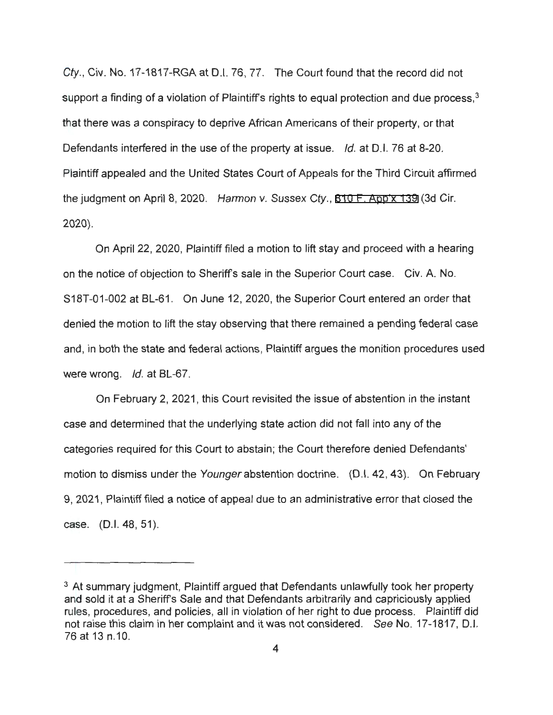Cty., Civ. No. 17-1817-RGA at D.I. 76, 77. The Court found that the record did not support a finding of a violation of Plaintiff's rights to equal protection and due process, $^3$ that there was a conspiracy to deprive African Americans of their property, or that Defendants interfered in the use of the property at issue. Id. at D.I. 76 at 8-20. Plaintiff appealed and the United States Court of Appeals for the Third Circuit affirmed the judgment on April 8, 2020. Harmon v. Sussex Cty., [810 F. App'x 139](http://scholar.google.com/scholar?q=810+f.+app) (3d Cir. 2020).

On April 22, 2020, Plaintiff filed a motion to lift stay and proceed with a hearing on the notice of objection to Sheriffs sale in the Superior Court case. Civ. A. No. S18T-01-002 at BL-61 . On June 12, 2020, the Superior Court entered an order that denied the motion to lift the stay observing that there remained a pending federal case and, in both the state and federal actions, Plaintiff argues the monition procedures used were wrong. *Id.* at BL-67.

On February 2, 2021 , this Court revisited the issue of abstention in the instant case and determined that the underlying state action did not fall into any of the categories required for this Court to abstain; the Court therefore denied Defendants' motion to dismiss under the Younger abstention doctrine. (D.I. 42, 43). On February 9, 2021 , Plaintiff filed a notice of appeal due to an administrative error that closed the case. (D.I. 48, 51).

<sup>&</sup>lt;sup>3</sup> At summary judgment, Plaintiff argued that Defendants unlawfully took her property and sold it at a Sheriffs Sale and that Defendants arbitrarily and capriciously applied rules, procedures, and policies, all in violation of her right to due process. Plaintiff did not raise this claim in her complaint and it was not considered. See No. 17-1817, D.I. 76 at 13 n.10.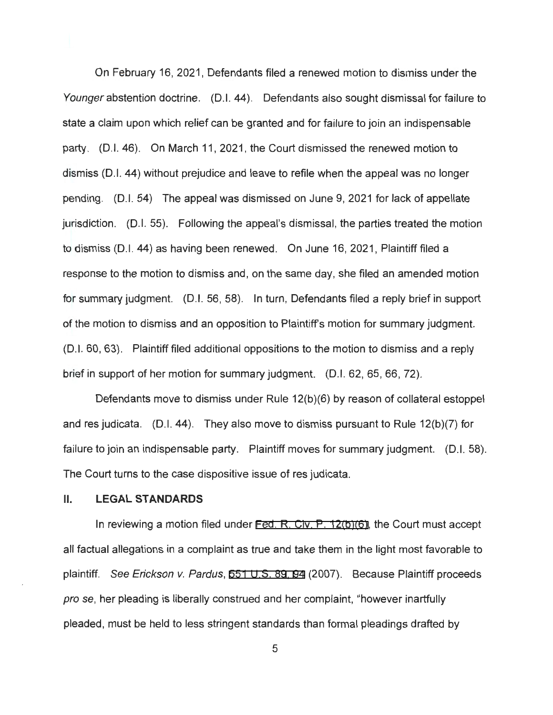On February 16, 2021 , Defendants filed a renewed motion to dismiss under the Younger abstention doctrine. (D.I. 44). Defendants also sought dismissal for failure to state a claim upon which relief can be granted and for failure to join an indispensable party. (0.1. 46). On March 11 , 2021 , the Court dismissed the renewed motion to dismiss (0.1. 44) without prejudice and leave to refile when the appeal was no longer pending. (0.1. 54) The appeal was dismissed on June 9, 2021 for lack of appellate jurisdiction. (0.1. 55). Following the appeal's dismissal, the parties treated the motion to dismiss (D.I. 44) as having been renewed. On June 16, 2021, Plaintiff filed a response to the motion to dismiss and , on the same day, she filed an amended motion for summary judgment. (D.I. 56, 58). In turn, Defendants filed a reply brief in support of the motion to dismiss and an opposition to Plaintiffs motion for summary judgment. (0.1. 60, 63). Plaintiff filed additional oppositions to the motion to dismiss and a reply brief in support of her motion for summary judgment. (0.1. 62, 65, 66, 72).

Defendants move to dismiss under Rule 12(b)(6) by reason of collateral estoppel and res judicata. (D.I. 44). They also move to dismiss pursuant to Rule 12(b)(7) for failure to join an indispensable party. Plaintiff moves for summary judgment. (D.I. 58). The Court turns to the case dispositive issue of res judicata.

#### II. **LEGAL STANDARDS**

In reviewing a motion filed under [Fed. R. Civ. P. 12\(b\)\(6\)](http://www.google.com/search?q=FRCP+12(b)(6)), the Court must accept all factual allegations in a complaint as true and take them in the light most favorable to plaintiff. See Erickson v. Pardus, [551 U.S. 89](http://www.google.com/search?q=551++u.s.+89)[, 9](http://scholar.google.com/scholar?q=551++u.s.+89&btnG=&hl=en&as_sdt=6)[4](http://www.google.com/search?q=94) (2007). Because Plaintiff proceeds pro se, her pleading is liberally construed and her complaint, "however inartfully pleaded, must be held to less stringent standards than formal pleadings drafted by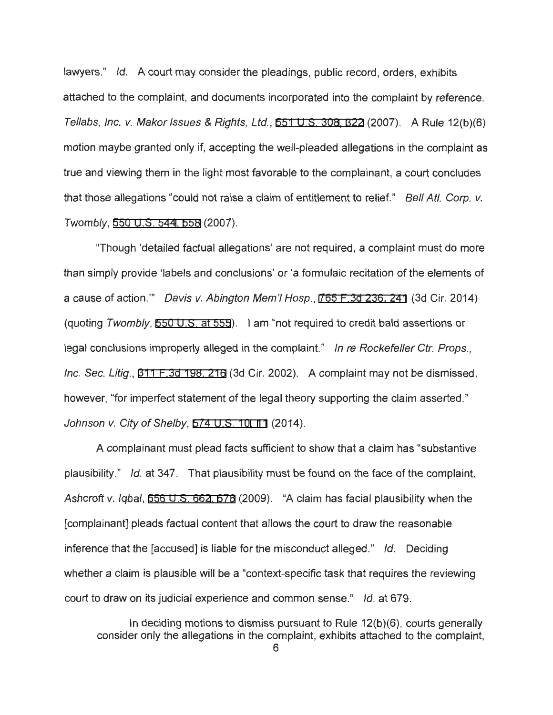lawyers." Id. A court may consider the pleadings, public record, orders, exhibits attached to the complaint, and documents incorporated into the complaint by reference. Tellabs, Inc. v. Makar Issues & Rights, Ltd., [551 U.S. 30](http://www.google.com/search?q=551++u.s.+308)[8,](http://scholar.google.com/scholar?q=551++u.s.+308&btnG=&hl=en&as_sdt=6) [322](http://www.google.com/search?q=322) (2007). A Rule 12(b)(6) motion maybe granted only if, accepting the well-pleaded allegations in the complaint as true and viewing them in the light most favorable to the complainant, a court concludes that those allegations "could not raise a claim of entitlement to relief." Bell Atl. Corp. v. Twombly, [550 U.S.](http://www.google.com/search?q=550+u.s.+544) **544,** [558](http://www.google.com/search?q=558) (2007).

"Though 'detailed factual allegations' are not required , a complaint must do more than simply provide 'labels and conclusions' or 'a formulaic recitation of the elements of a cause of action."' Davis v. Abington Mem'I Hosp., [765 F.3d 236, 241](http://scholar.google.com/scholar?q=765+f.3d+236&btnG=&hl=en&as_sdt=6) (3d Cir. 2014) (quoting Twombly, [550 U.S. at 555\)](http://scholar.google.com/scholar?q=550+u.s.+544&btnG=&hl=en&as_sdt=6). I am "not required to credit bald assertions or legal conclusions improperly alleged in the complaint." In re Rockefeller Ctr. Props., Inc. Sec. Litig., [311 F.3d 198, 216](http://scholar.google.com/scholar?q=311++f.3d+198&btnG=&hl=en&as_sdt=6) (3d Cir. 2002). A complaint may not be dismissed, however, "for imperfect statement of the legal theory supporting the claim asserted." Johnson v. City of Shelby, [574 U.S. 10](http://www.google.com/search?q=574+u.s.+10)[, 1](http://scholar.google.com/scholar?q=574+u.s.+10&btnG=&hl=en&as_sdt=6)[1](http://www.google.com/search?q=11) (2014).

A complainant must plead facts sufficient to show that a claim has "substantive plausibility." Id. at 347. That plausibility must be found on the face of the complaint. Ashcroft v. Iqbal, [556 U.S. 66](http://www.google.com/search?q=556+u.s.+662)[2, 6](http://scholar.google.com/scholar?q=556+u.s.+662&btnG=&hl=en&as_sdt=6)[78](http://www.google.com/search?q=678) (2009). "A claim has facial plausibility when the [complainant] pleads factual content that allows the court to draw the reasonable inference that the [accused] is liable for the misconduct alleged." Id. Deciding whether a claim is plausible will be a "context-specific task that requires the reviewing court to draw on its judicial experience and common sense." Id. at 679.

In deciding motions to dismiss pursuant to Rule 12(b)(6), courts generally consider only the allegations in the complaint, exhibits attached to the complaint,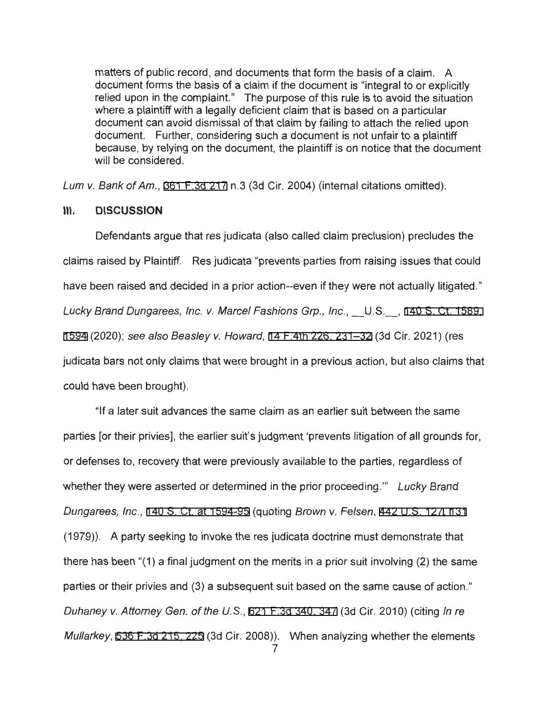matters of public record, and documents that form the basis of a claim. A document forms the basis of a claim if the document is "integral to or explicitly relied upon in the complaint." The purpose of this rule is to avoid the situation where a plaintiff with a legally deficient claim that is based on a particular document can avoid dismissal of that claim by failing to attach the relied upon document. Further, considering such a document is not unfair to a plaintiff because, by relying on the document, the plaintiff is on notice that the document will be considered.

Lum v. Bank of Am., [361 F.3d 217](http://scholar.google.com/scholar?q=361++f.3d+217&btnG=&hl=en&as_sdt=6) n.3 (3d Cir. 2004) (internal citations omitted).

### **Ill. DISCUSSION**

Defendants argue that res judicata (also called claim preclusion) precludes the claims raised by Plaintiff. Res judicata "prevents parties from raising issues that could have been raised and decided in a prior action--even if they were not actually litigated." Lucky Brand Dungarees, Inc. v. Marcel Fashions Grp., Inc., \_\_U.S.\_\_, 140 S. Ct. 1589, [1594](http://scholar.google.com/scholar?q=140+s.+ct.+1589&btnG=&hl=en&as_sdt=6) (2020); see also Beasley v. Howard, [14 F.4th 226, 231-32](http://scholar.google.com/scholar?q=14+f.4th+226&btnG=&hl=en&as_sdt=6) (3d Cir. 2021) (res judicata bars not only claims that were brought in a previous action, but also claims that could have been brought).

"If a later suit advances the same claim as an earlier suit between the same parties [or their privies], the earlier suit's judgment 'prevents litigation of all grounds for, or defenses to, recovery that were previously available to the parties, regardless of whether they were asserted or determined in the prior proceeding." Lucky Brand Dungarees, Inc. , [140 S. Ct. at 1594-95](http://scholar.google.com/scholar?q=140+s.+ct.+1589&btnG=&hl=en&as_sdt=6) (quoting Brown v. Fe/sen, [442 U.S. 127](http://www.google.com/search?q=442+u.s.+127)[,](http://scholar.google.com/scholar?q=442+u.s.+127&btnG=&hl=en&as_sdt=6) [131](http://www.google.com/search?q=131)  (1979)). A party seeking to invoke the res judicata doctrine must demonstrate that there has been "(1) a final judgment on the merits in a prior suit involving (2) the same parties or their privies and (3) a subsequent suit based on the same cause of action." Duhaney v. Attorney Gen. of the U.S., [621 F.3d 340, 347](http://scholar.google.com/scholar?q=621++f.3d+340&btnG=&hl=en&as_sdt=6) (3d Cir. 2010) (citing In re Mullarkey, [536 F.3d 215, 225](http://scholar.google.com/scholar?q=536+f.3d+215&btnG=&hl=en&as_sdt=6) (3d Cir. 2008)). When analyzing whether the elements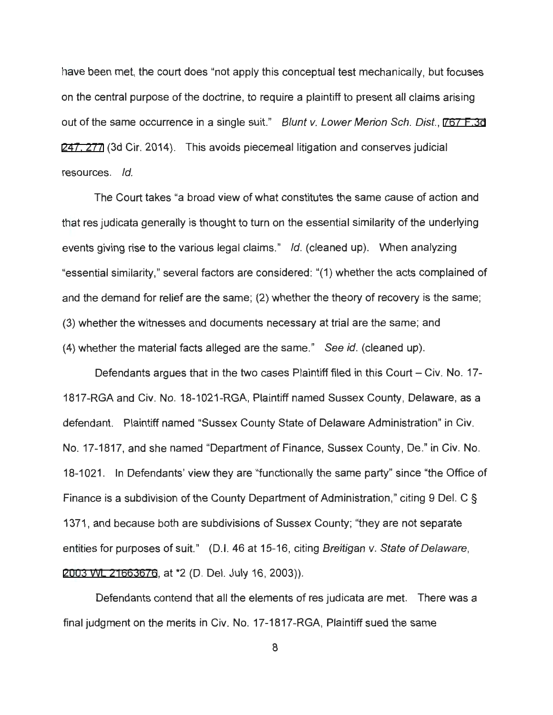have been met, the court does "not apply this conceptual test mechanically, but focuses on the central purpose of the doctrine, to require a plaintiff to present all claims arising out of the same occurrence in a single suit." Blunt v. Lower Merion Sch. Dist., 767 F.3d [247, 277](http://scholar.google.com/scholar?q=767+f.3d++247&btnG=&hl=en&as_sdt=6) (3d Cir. 2014). This avoids piecemeal litigation and conserves judicial resources. Id.

The Court takes "a broad view of what constitutes the same cause of action and that res judicata generally is thought to turn on the essential similarity of the underlying events giving rise to the various legal claims." Id. (cleaned up). When analyzing "essential similarity," several factors are considered: "(1) whether the acts complained of and the demand for relief are the same; (2) whether the theory of recovery is the same; (3) whether the witnesses and documents necessary at trial are the same; and (4) whether the material facts alleged are the same." See id. (cleaned up).

Defendants argues that in the two cases Plaintiff filed in this Court – Civ. No. 17-1817-RGA and Civ. No. 18-1021-RGA, Plaintiff named Sussex County, Delaware, as a defendant. Plaintiff named "Sussex County State of Delaware Administration" in Civ. No. 17-1817, and she named "Department of Finance, Sussex County, De." in Civ. No. 18-1021. In Defendants' view they are "functionally the same party" since "the Office of Finance is a subdivision of the County Department of Administration," citing 9 Del. C § 1371, and because both are subdivisions of Sussex County; "they are not separate entities for purposes of suit." (D.I. 46 at 15-16, citing Breitigan v. State of Delaware, [2003 WL 21663676](https://www.westlaw.com/Link/Document/FullText?rs=USCLink&vr=3.0&findType=Y&cite=2003%2Bwl%2B21663676&refPos=21663676&refPosType=s&clientid=USCourts), at \*2 (D. Del. July 16, 2003)).

Defendants contend that all the elements of res judicata are met. There was a final judgment on the merits in Civ. No. 17-1817-RGA, Plaintiff sued the same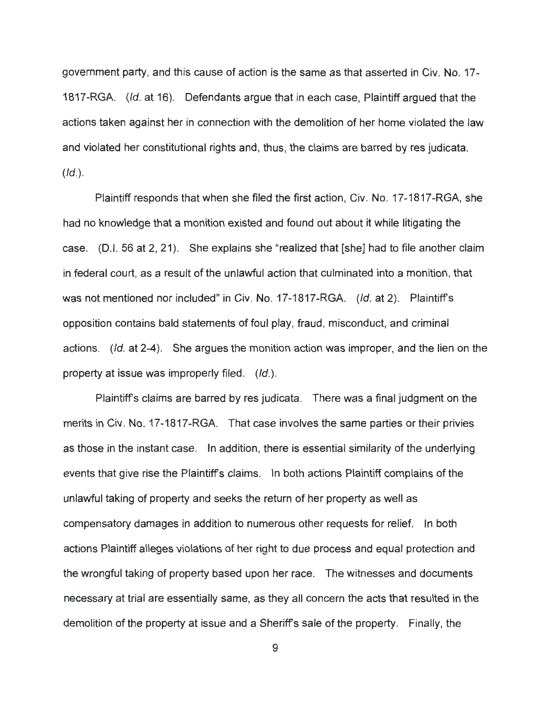government party, and this cause of action is the same as that asserted in Civ. No. 17- 1817-RGA. (/d. at 16). Defendants argue that in each case, Plaintiff argued that the actions taken against her in connection with the demolition of her home violated the law and violated her constitutional rights and, thus, the claims are barred by res judicata.  $(Id.).$ 

Plaintiff responds that when she filed the first action, Civ. No. 17-1817-RGA, she had no knowledge that a monition existed and found out about it while litigating the case. (D.I. 56 at 2, 21). She explains she "realized that [she] had to file another claim in federal court, as a result of the unlawful action that culminated into a monition, that was not mentioned nor included" in Civ. No. 17-1817-RGA. (Id. at 2). Plaintiff's opposition contains bald statements of foul play, fraud, misconduct, and criminal actions. (Id. at 2-4). She argues the monition action was improper, and the lien on the property at issue was improperly filed.  $(id.)$ .

Plaintiff's claims are barred by res judicata. There was a final judgment on the merits in Civ. No. 17-1817-RGA. That case involves the same parties or their privies as those in the instant case. In addition, there is essential similarity of the underlying events that give rise the Plaintiff's claims. In both actions Plaintiff complains of the unlawful taking of property and seeks the return of her property as Well as compensatory damages in addition to numerous other requests for relief. In both actions Plaintiff alleges violations of her right to due process and equal protection and the wrongful taking of property based upon her race. The witnesses and documents necessary at trial are essentially same, as they all concern the acts that resulted in the demolition of the property at issue and a Sheriff's sale of the property. Finally, the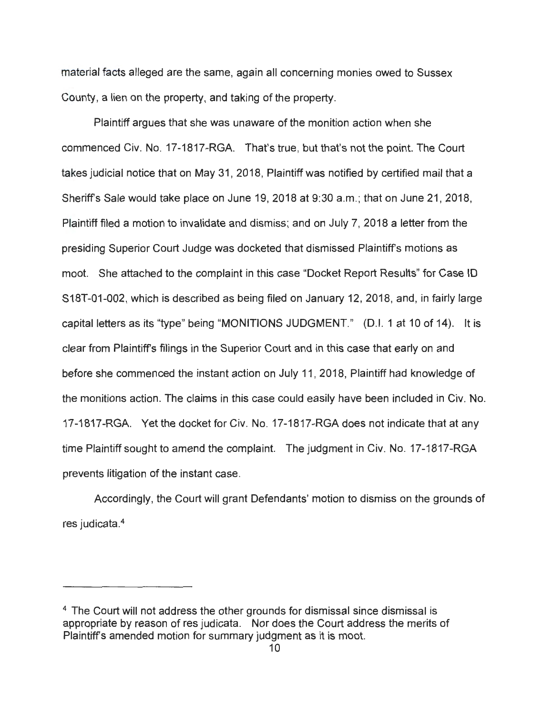material facts alleged are the same, again all concerning monies owed to Sussex County, a lien on the property, and taking of the property.

Plaintiff argues that she was unaware of the monition action when she commenced Civ. No. 17-1817-RGA. That's true, but that's not the point. The Court takes judicial notice that on May 31, 2018, Plaintiff was notified by certified mail that a Sheriff's Sale would take place on June 19, 2018 at 9:30 a.m.; that on June 21, 2018, Plaintiff filed a motion to invalidate and dismiss; and on July 7, 2018 a letter from the presiding Superior Court Judge was docketed that dismissed Plaintiffs motions as moot. She attached to the complaint in this case "Docket Report Results" for Case ID S18T-01-002, which is described as being filed on January 12, 2018, and, in fairly large capital letters as its "type" being "MONITIONS JUDGMENT." (D.I. 1 at 10 of 14). It is clear from Plaintiffs filings in the Superior Court and in this case that early on and before she commenced the instant action on July 11 , 2018, Plaintiff had knowledge of the monitions action. The claims in this case could easily have been included in Civ. No. 17-1817-RGA. Yet the docket for Civ. No. 17-1817-RGA does not indicate that at any time Plaintiff sought to amend the complaint. The judgment in Civ. No. 17-1817-RGA prevents litigation of the instant case.

Accordingly, the Court will grant Defendants' motion to dismiss on the grounds of res judicata. 4

<sup>&</sup>lt;sup>4</sup> The Court will not address the other grounds for dismissal since dismissal is appropriate by reason of res judicata. Nor does the Court address the merits of Plaintiffs amended motion for summary judgment as it is moot.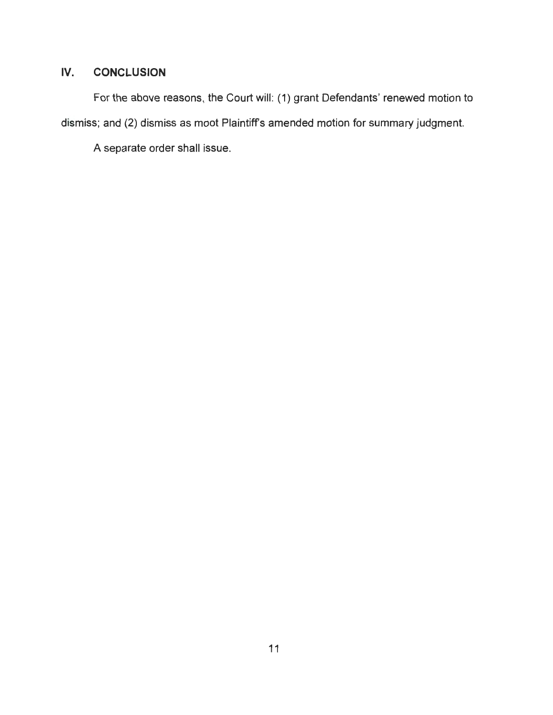# **IV. CONCLUSION**

For the above reasons, the Court will: (1) grant Defendants' renewed motion to dismiss; and (2) dismiss as moot Plaintiffs amended motion for summary judgment.

A separate order shall issue.